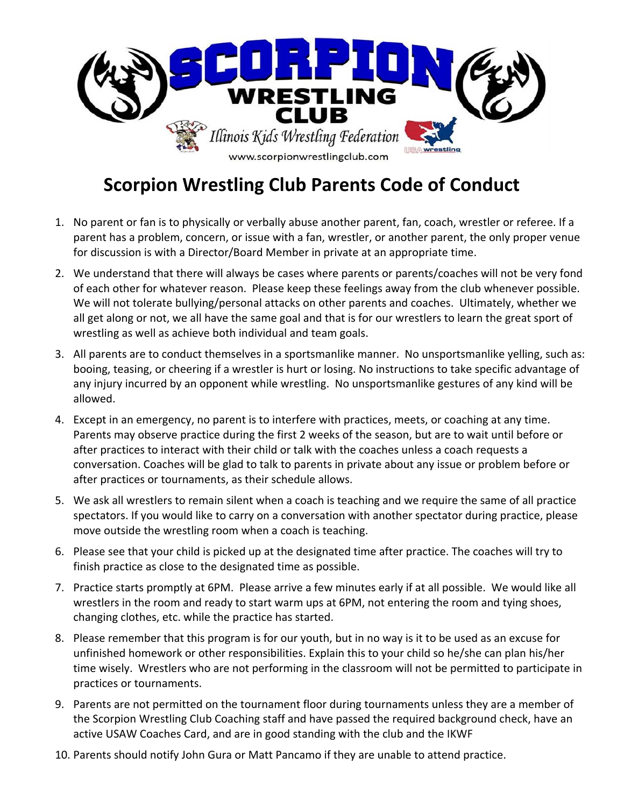

## **Scorpion Wrestling Club Parents Code of Conduct**

- 1. No parent or fan is to physically or verbally abuse another parent, fan, coach, wrestler or referee. If a parent has a problem, concern, or issue with a fan, wrestler, or another parent, the only proper venue for discussion is with a Director/Board Member in private at an appropriate time.
- 2. We understand that there will always be cases where parents or parents/coaches will not be very fond of each other for whatever reason. Please keep these feelings away from the club whenever possible. We will not tolerate bullying/personal attacks on other parents and coaches. Ultimately, whether we all get along or not, we all have the same goal and that is for our wrestlers to learn the great sport of wrestling as well as achieve both individual and team goals.
- 3. All parents are to conduct themselves in a sportsmanlike manner. No unsportsmanlike yelling, such as: booing, teasing, or cheering if a wrestler is hurt or losing. No instructions to take specific advantage of any injury incurred by an opponent while wrestling. No unsportsmanlike gestures of any kind will be allowed.
- 4. Except in an emergency, no parent is to interfere with practices, meets, or coaching at any time. Parents may observe practice during the first 2 weeks of the season, but are to wait until before or after practices to interact with their child or talk with the coaches unless a coach requests a conversation. Coaches will be glad to talk to parents in private about any issue or problem before or after practices or tournaments, as their schedule allows.
- 5. We ask all wrestlers to remain silent when a coach is teaching and we require the same of all practice spectators. If you would like to carry on a conversation with another spectator during practice, please move outside the wrestling room when a coach is teaching.
- 6. Please see that your child is picked up at the designated time after practice. The coaches will try to finish practice as close to the designated time as possible.
- 7. Practice starts promptly at 6PM. Please arrive a few minutes early if at all possible. We would like all wrestlers in the room and ready to start warm ups at 6PM, not entering the room and tying shoes, changing clothes, etc. while the practice has started.
- 8. Please remember that this program is for our youth, but in no way is it to be used as an excuse for unfinished homework or other responsibilities. Explain this to your child so he/she can plan his/her time wisely. Wrestlers who are not performing in the classroom will not be permitted to participate in practices or tournaments.
- 9. Parents are not permitted on the tournament floor during tournaments unless they are a member of the Scorpion Wrestling Club Coaching staff and have passed the required background check, have an active USAW Coaches Card, and are in good standing with the club and the IKWF
- 10. Parents should notify John Gura or Matt Pancamo if they are unable to attend practice.